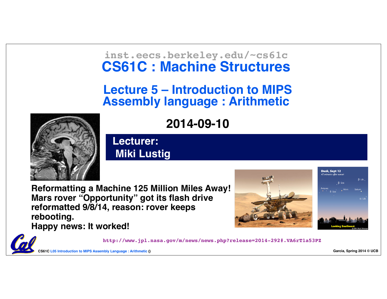#### **inst.eecs.berkeley.edu/~cs61c CS61C : Machine Structures**

#### **Lecture 5 – Introduction to MIPS Assembly language : Arithmetic**

**2014-09-10**



**Lecturer: Miki Lustig**

**Reformatting a Machine 125 Million Miles Away! Mars rover "Opportunity" got its flash drive reformatted 9/8/14, reason: rover keeps rebooting. Happy news: It worked!**





**CS61C L05 Introduction to MIPS Assembly Language : Arithmetic () Garcia, Spring 2014 © UCB http://www.jpl.nasa.gov/m/news/news.php?release=2014-292#.VA6rT1a53PZ**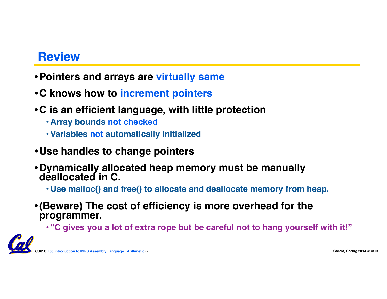### **Review**

- •**Pointers and arrays are virtually same**
- •**C knows how to increment pointers**
- •**C is an efficient language, with little protection**
	- **• Array bounds not checked**
	- **• Variables not automatically initialized**
- •**Use handles to change pointers**
- •**Dynamically allocated heap memory must be manually deallocated in C.**
	- **• Use malloc() and free() to allocate and deallocate memory from heap.**
- •**(Beware) The cost of efficiency is more overhead for the programmer.**
	- **• "C gives you a lot of extra rope but be careful not to hang yourself with it!"**

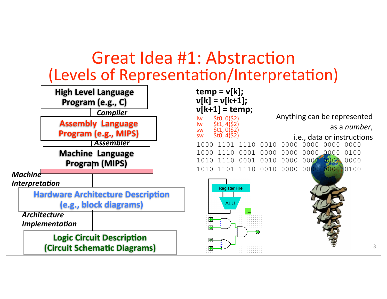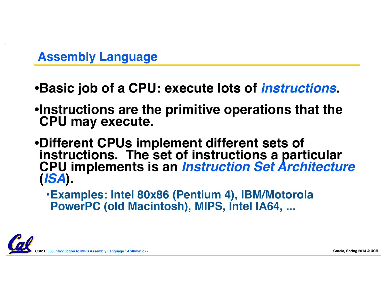### **Assembly Language**

- •**Basic job of a CPU: execute lots of** *instructions***.**
- •**Instructions are the primitive operations that the CPU may execute.**
- •**Different CPUs implement different sets of**  instructions. The set of instructions a particular **CPU implements is an** *Instruction Set Architecture* **(***ISA***).**
	- **•Examples: Intel 80x86 (Pentium 4), IBM/Motorola PowerPC (old Macintosh), MIPS, Intel IA64, ...**

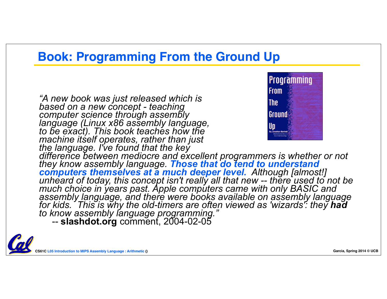### **Book: Programming From the Ground Up**

*"A new book was just released which is based on a new concept - teaching computer science through assembly language (Linux x86 assembly language, to be exact). This book teaches how the machine itself operates, rather than just the language. I've found that the key*



*difference between mediocre and excellent programmers is whether or not they know assembly language. Those that do tend to understand computers themselves at a much deeper level. Although [almost!] unheard of today, this concept isn't really all that new -- there used to not be much choice in years past. Apple computers came with only BASIC and assembly language, and there were books available on assembly language for kids. This is why the old-timers are often viewed as 'wizards': they had to know assembly language programming."*

-- **slashdot.org** comment, 2004-02-05

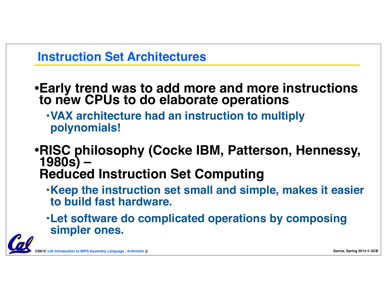### **Instruction Set Architectures**

•**Early trend was to add more and more instructions to new CPUs to do elaborate operations**

- **•VAX architecture had an instruction to multiply polynomials!**
- •**RISC philosophy (Cocke IBM, Patterson, Hennessy, 1980s) – Reduced Instruction Set Computing**
	- **•Keep the instruction set small and simple, makes it easier to build fast hardware.**
	- **•Let software do complicated operations by composing simpler ones.**

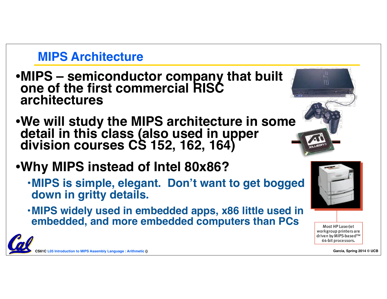### **MIPS Architecture**

- •**MIPS semiconductor company that built one of the first commercial RISC architectures**
- •**We will study the MIPS architecture in some detail in this class (also used in upper division courses CS 152, 162, 164)**
- •**Why MIPS instead of Intel 80x86?**
	- **•MIPS is simple, elegant. Don't want to get bogged down in gritty details.**
	- **•MIPS widely used in embedded apps, x86 little used in embedded, and more embedded computers than PCs**



Most HP LaserJet workgroup printers are driven by MIPS-based™ 64-bit processors.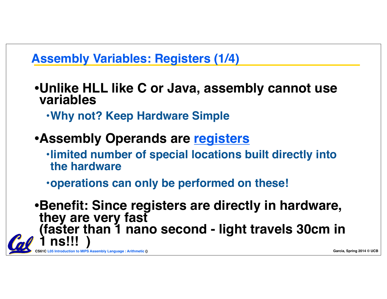# **Assembly Variables: Registers (1/4)**

- •**Unlike HLL like C or Java, assembly cannot use variables**
	- **•Why not? Keep Hardware Simple**
- •**Assembly Operands are registers**
	- **•limited number of special locations built directly into the hardware**
	- **•operations can only be performed on these!**

•**Benefit: Since registers are directly in hardware, they are very fast (faster than 1 nano second - light travels 30cm in 1 ns!!! )**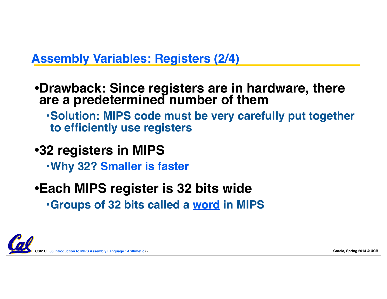### **Assembly Variables: Registers (2/4)**

- •**Drawback: Since registers are in hardware, there are a predetermined number of them**
	- **•Solution: MIPS code must be very carefully put together to efficiently use registers**
- •**32 registers in MIPS**
	- **•Why 32? Smaller is faster**
- •**Each MIPS register is 32 bits wide •Groups of 32 bits called a word in MIPS**

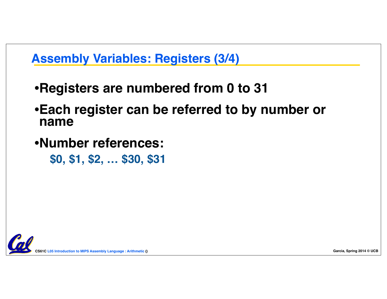## **Assembly Variables: Registers (3/4)**

- •**Registers are numbered from 0 to 31**
- •**Each register can be referred to by number or name**
- •**Number references:**
	- **\$0, \$1, \$2, … \$30, \$31**

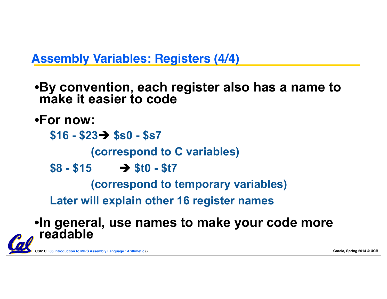

•**By convention, each register also has a name to make it easier to code**

•**For now:**

**\$16 - \$23**è **\$s0 - \$s7**

 **(correspond to C variables)**

 $$8 - $15 \rightarrow $10 - $17$ 

 **(correspond to temporary variables)**

**Later will explain other 16 register names**

•**In general, use names to make your code more readable**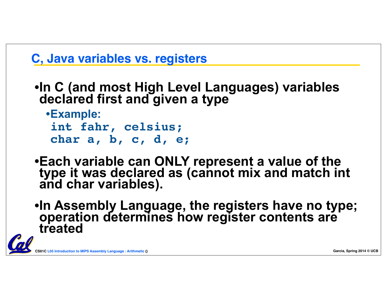

```
•In C (and most High Level Languages) variables 
declared first and given a type
```

```
•Example: 
int fahr, celsius; 
char a, b, c, d, e;
```
•**Each variable can ONLY represent a value of the type it was declared as (cannot mix and match int and char variables).**

•**In Assembly Language, the registers have no type; operation determines how register contents are treated**

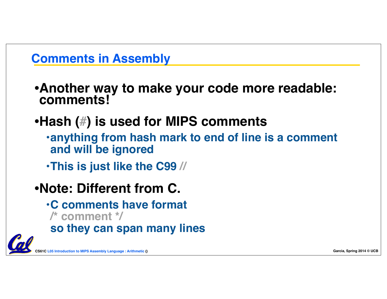# **Comments in Assembly**

•**Another way to make your code more readable: comments!**

# •**Hash (#) is used for MIPS comments**

- **•anything from hash mark to end of line is a comment and will be ignored**
- **•This is just like the C99 //**

# •**Note: Different from C.**

- **•C comments have format /\* comment \*/**
- **so they can span many lines**

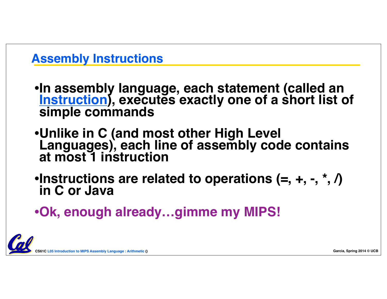# **Assembly Instructions**

•**In assembly language, each statement (called an Instruction**), executes exactly one of a short list of simple commands

•**Unlike in C (and most other High Level Languages), each line of assembly code contains at most 1 instruction**

•**Instructions are related to operations (=, +, -, \*, /) in C or Java**

•**Ok, enough already…gimme my MIPS!**

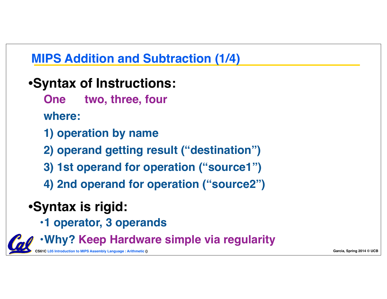# **MIPS Addition and Subtraction (1/4)**

# •**Syntax of Instructions:**

**One two, three, four**

**where:**

**1) operation by name** 

**2) operand getting result ("destination")**

- **3) 1st operand for operation ("source1")**
- **4) 2nd operand for operation ("source2")**

# •**Syntax is rigid:**

**•1 operator, 3 operands**

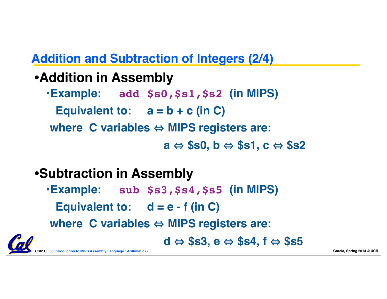# **Addition and Subtraction of Integers (2/4)**

- •**Addition in Assembly**
	- **•Example: add \$s0,\$s1,\$s2 (in MIPS)**
		- **Equivalent to: a = b + c (in C)**
	- **where C variables ⇔ MIPS registers are:**

 $a \Leftrightarrow$  \$s0, b  $\Leftrightarrow$  \$s1, c  $\Leftrightarrow$  \$s2

# •**Subtraction in Assembly**

- **•Example: sub \$s3,\$s4,\$s5 (in MIPS)**
	- **Equivalent to: d = e f (in C)**

**where C variables ⇔ MIPS registers are:** 

 $d \Leftrightarrow$  \$s3,  $e \Leftrightarrow$  \$s4,  $f \Leftrightarrow$  \$s5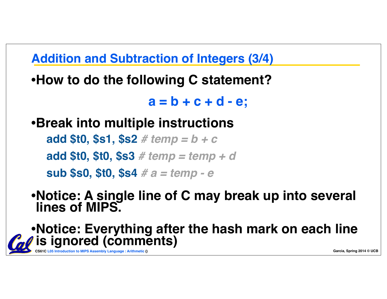**Addition and Subtraction of Integers (3/4)**

•**How to do the following C statement?**

**a = b + c + d - e;**

•**Break into multiple instructions**

**add \$t0, \$s1, \$s2** *# temp = b + c* **add \$t0, \$t0, \$s3** *# temp = temp + d* **sub \$s0, \$t0, \$s4** *# a = temp - e*

•**Notice: A single line of C may break up into several lines of MIPS.**

•**Notice: Everything after the hash mark on each line is ignored (comments)**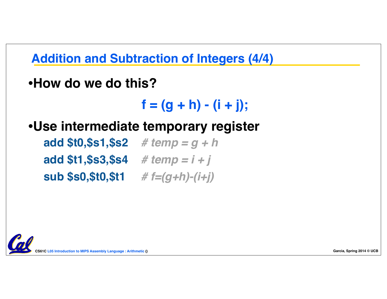**Addition and Subtraction of Integers (4/4)**

•**How do we do this?**

 $f = (g + h) - (i + j);$ 

•**Use intermediate temporary register**

**add \$t0,\$s1,\$s2** *# temp = g + h* **add \$t1,\$s3,\$s4** *# temp = i + j* **sub \$s0,\$t0,\$t1** *# f=(g+h)-(i+j)*

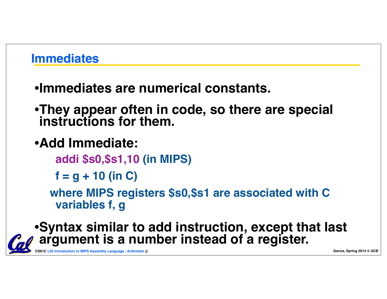### **Immediates**

# •**Immediates are numerical constants.**

- •**They appear often in code, so there are special instructions for them.**
- •**Add Immediate:**

**addi \$s0,\$s1,10 (in MIPS)**

**f = g + 10 (in C)**

**where MIPS registers \$s0,\$s1 are associated with C variables f, g** 

### •**Syntax similar to add instruction, except that last argument is a number instead of a register.**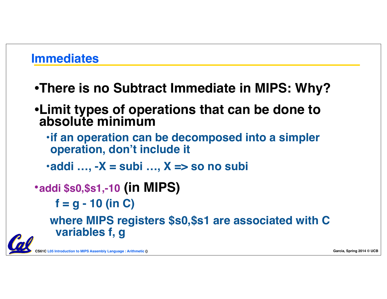### **Immediates**

- •**There is no Subtract Immediate in MIPS: Why?**
- •**Limit types of operations that can be done to absolute minimum** 
	- **•if an operation can be decomposed into a simpler operation, don't include it**
	- **•addi …, -X = subi …, X => so no subi**
- •**addi \$s0,\$s1,-10 (in MIPS)**

**f = g - 10 (in C)**

**where MIPS registers \$s0,\$s1 are associated with C variables f, g**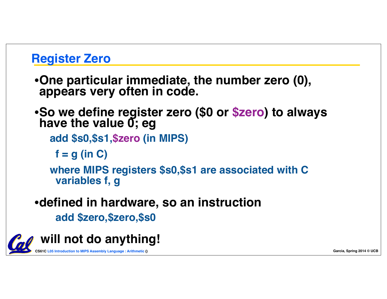### **Register Zero**

- •**One particular immediate, the number zero (0), appears very often in code.**
- •**So we define register zero (\$0 or \$zero) to always have the value 0; eg**

**add \$s0,\$s1,\$zero (in MIPS)**

**f = g (in C)**

**where MIPS registers \$s0,\$s1 are associated with C variables f, g**

### •**defined in hardware, so an instruction**

**add \$zero,\$zero,\$s0**

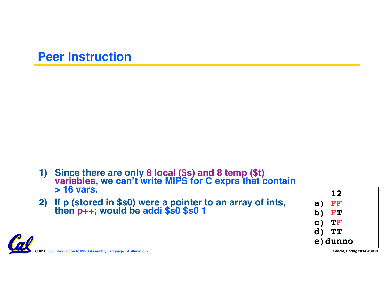### **Peer Instruction**

- **1) Since there are only 8 local (\$s) and 8 temp (\$t) variables, we can't write MIPS for C exprs that contain > 16 vars.**
- **2) If p (stored in \$s0) were a pointer to an array of ints, then p++; would be addi \$s0 \$s0 1**

|                | <b>12</b>               |
|----------------|-------------------------|
| a)             | FF                      |
| $ {\bf b}\,)$  | FT                      |
| $\mathbf{C}$   | TF                      |
| $\mathbf{d}$ ) | TT                      |
| e) dunno       |                         |
|                | <b>Carles</b><br>។ រ. ក |